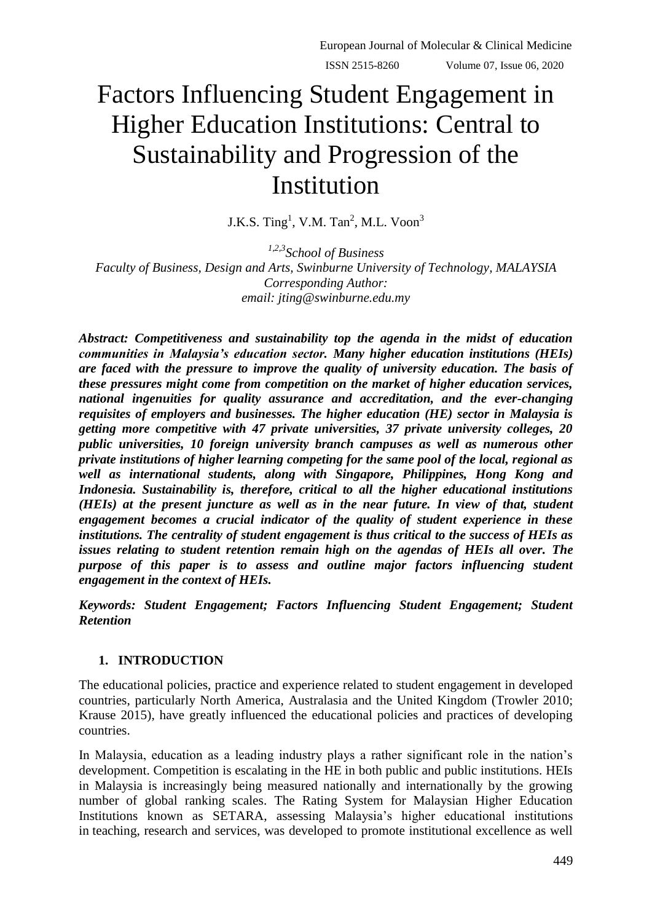# Factors Influencing Student Engagement in Higher Education Institutions: Central to Sustainability and Progression of the Institution

J.K.S. Ting<sup>1</sup>, V.M. Tan<sup>2</sup>, M.L. Voon<sup>3</sup>

*1,2,3School of Business Faculty of Business, Design and Arts, Swinburne University of Technology, MALAYSIA Corresponding Author: email: [jting@swinburne.edu.my](mailto:jting@swinburne.edu.my)*

*Abstract: Competitiveness and sustainability top the agenda in the midst of education communities in Malaysia's education sector. Many higher education institutions (HEIs) are faced with the pressure to improve the quality of university education. The basis of these pressures might come from competition on the market of higher education services, national ingenuities for quality assurance and accreditation, and the ever-changing requisites of employers and businesses. The higher education (HE) sector in Malaysia is getting more competitive with 47 private universities, 37 private university colleges, 20 public universities, 10 foreign university branch campuses as well as numerous other private institutions of higher learning competing for the same pool of the local, regional as well as international students, along with Singapore, Philippines, Hong Kong and Indonesia. Sustainability is, therefore, critical to all the higher educational institutions (HEIs) at the present juncture as well as in the near future. In view of that, student engagement becomes a crucial indicator of the quality of student experience in these institutions. The centrality of student engagement is thus critical to the success of HEIs as issues relating to student retention remain high on the agendas of HEIs all over. The purpose of this paper is to assess and outline major factors influencing student engagement in the context of HEIs.*

*Keywords: Student Engagement; Factors Influencing Student Engagement; Student Retention*

# **1. INTRODUCTION**

The educational policies, practice and experience related to student engagement in developed countries, particularly North America, Australasia and the United Kingdom (Trowler 2010; Krause 2015), have greatly influenced the educational policies and practices of developing countries.

In Malaysia, education as a leading industry plays a rather significant role in the nation"s development. Competition is escalating in the HE in both public and public institutions. HEIs in Malaysia is increasingly being measured nationally and internationally by the growing number of global ranking scales. The Rating System for Malaysian Higher Education Institutions known as SETARA, assessing Malaysia"s higher educational institutions in teaching, research and services, was developed to promote institutional excellence as well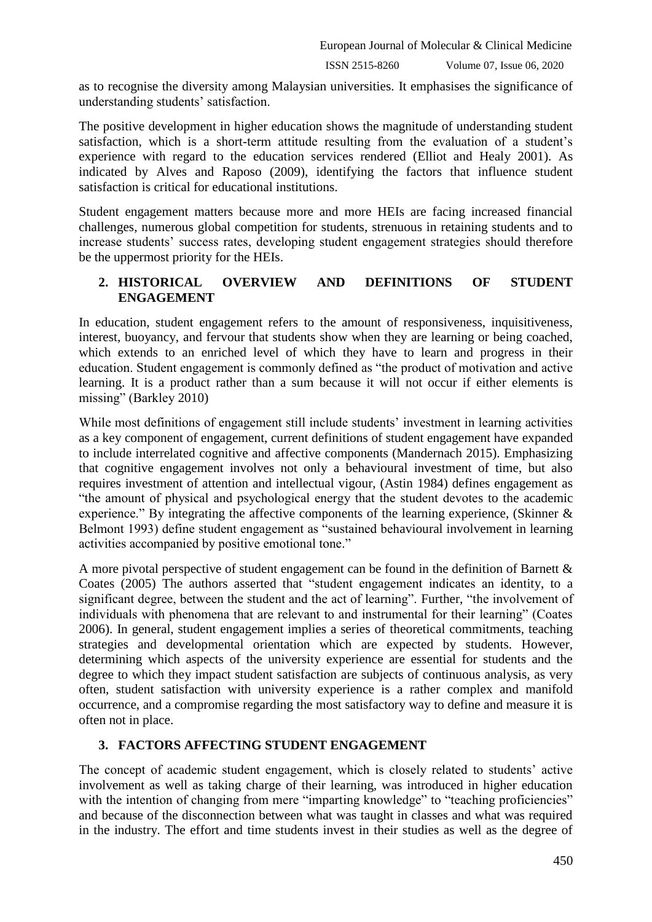European Journal of Molecular & Clinical Medicine

ISSN 2515-8260 Volume 07, Issue 06, 2020

as to recognise the diversity among Malaysian universities. It emphasises the significance of understanding students' satisfaction.

The positive development in higher education shows the magnitude of understanding student satisfaction, which is a short-term attitude resulting from the evaluation of a student's experience with regard to the education services rendered (Elliot and Healy 2001). As indicated by Alves and Raposo (2009), identifying the factors that influence student satisfaction is critical for educational institutions.

Student engagement matters because more and more HEIs are facing increased financial challenges, numerous global competition for students, strenuous in retaining students and to increase students' success rates, developing student engagement strategies should therefore be the uppermost priority for the HEIs.

# **2. HISTORICAL OVERVIEW AND DEFINITIONS OF STUDENT ENGAGEMENT**

In education, student engagement refers to the amount of responsiveness, inquisitiveness, interest, buoyancy, and fervour that students show when they are learning or being coached, which extends to an enriched level of which they have to learn and progress in their education. Student engagement is commonly defined as "the product of motivation and active learning. It is a product rather than a sum because it will not occur if either elements is missing" (Barkley 2010)

While most definitions of engagement still include students' investment in learning activities as a key component of engagement, current definitions of student engagement have expanded to include interrelated cognitive and affective components (Mandernach 2015). Emphasizing that cognitive engagement involves not only a behavioural investment of time, but also requires investment of attention and intellectual vigour, (Astin 1984) defines engagement as "the amount of physical and psychological energy that the student devotes to the academic experience." By integrating the affective components of the learning experience, (Skinner & Belmont 1993) define student engagement as "sustained behavioural involvement in learning activities accompanied by positive emotional tone."

A more pivotal perspective of student engagement can be found in the definition of Barnett & Coates (2005) The authors asserted that "student engagement indicates an identity, to a significant degree, between the student and the act of learning". Further, "the involvement of individuals with phenomena that are relevant to and instrumental for their learning" (Coates 2006). In general, student engagement implies a series of theoretical commitments, teaching strategies and developmental orientation which are expected by students. However, determining which aspects of the university experience are essential for students and the degree to which they impact student satisfaction are subjects of continuous analysis, as very often, student satisfaction with university experience is a rather complex and manifold occurrence, and a compromise regarding the most satisfactory way to define and measure it is often not in place.

# **3. FACTORS AFFECTING STUDENT ENGAGEMENT**

The concept of academic student engagement, which is closely related to students' active involvement as well as taking charge of their learning, was introduced in higher education with the intention of changing from mere "imparting knowledge" to "teaching proficiencies" and because of the disconnection between what was taught in classes and what was required in the industry. The effort and time students invest in their studies as well as the degree of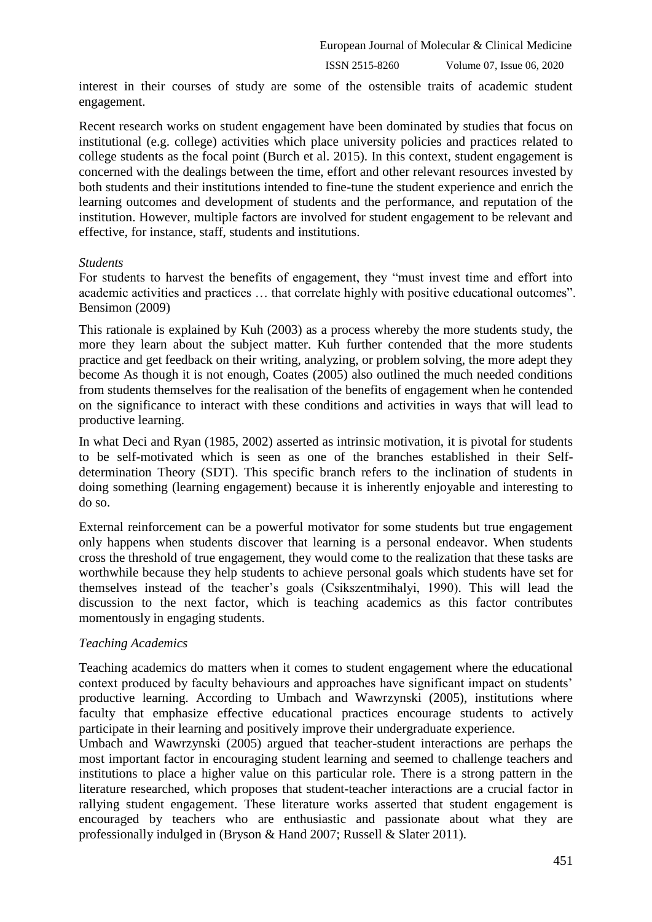ISSN 2515-8260 Volume 07, Issue 06, 2020

interest in their courses of study are some of the ostensible traits of academic student engagement.

Recent research works on student engagement have been dominated by studies that focus on institutional (e.g. college) activities which place university policies and practices related to college students as the focal point (Burch et al. 2015). In this context, student engagement is concerned with the dealings between the time, effort and other relevant resources invested by both students and their institutions intended to fine-tune the student experience and enrich the learning outcomes and development of students and the performance, and reputation of the institution. However, multiple factors are involved for student engagement to be relevant and effective, for instance, staff, students and institutions.

#### *Students*

For students to harvest the benefits of engagement, they "must invest time and effort into academic activities and practices … that correlate highly with positive educational outcomes". Bensimon (2009)

This rationale is explained by Kuh (2003) as a process whereby the more students study, the more they learn about the subject matter. Kuh further contended that the more students practice and get feedback on their writing, analyzing, or problem solving, the more adept they become As though it is not enough, Coates (2005) also outlined the much needed conditions from students themselves for the realisation of the benefits of engagement when he contended on the significance to interact with these conditions and activities in ways that will lead to productive learning.

In what Deci and Ryan (1985, 2002) asserted as intrinsic motivation, it is pivotal for students to be self-motivated which is seen as one of the branches established in their Selfdetermination Theory (SDT). This specific branch refers to the inclination of students in doing something (learning engagement) because it is inherently enjoyable and interesting to do so.

External reinforcement can be a powerful motivator for some students but true engagement only happens when students discover that learning is a personal endeavor. When students cross the threshold of true engagement, they would come to the realization that these tasks are worthwhile because they help students to achieve personal goals which students have set for themselves instead of the teacher"s goals (Csikszentmihalyi, 1990). This will lead the discussion to the next factor, which is teaching academics as this factor contributes momentously in engaging students.

# *Teaching Academics*

Teaching academics do matters when it comes to student engagement where the educational context produced by faculty behaviours and approaches have significant impact on students" productive learning. According to Umbach and Wawrzynski (2005), institutions where faculty that emphasize effective educational practices encourage students to actively participate in their learning and positively improve their undergraduate experience.

Umbach and Wawrzynski (2005) argued that teacher-student interactions are perhaps the most important factor in encouraging student learning and seemed to challenge teachers and institutions to place a higher value on this particular role. There is a strong pattern in the literature researched, which proposes that student-teacher interactions are a crucial factor in rallying student engagement. These literature works asserted that student engagement is encouraged by teachers who are enthusiastic and passionate about what they are professionally indulged in (Bryson & Hand 2007; Russell & Slater 2011).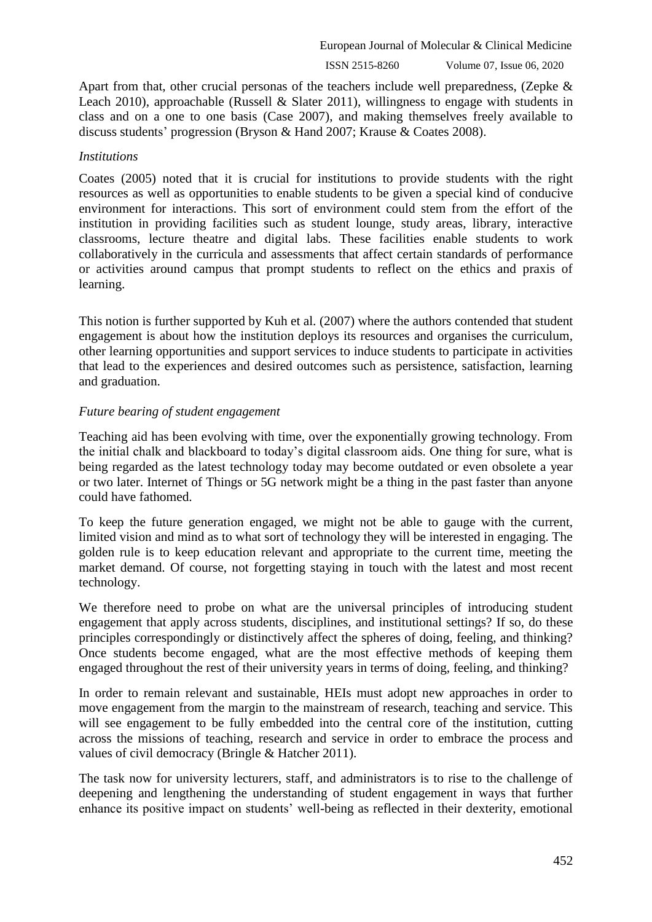European Journal of Molecular & Clinical Medicine

ISSN 2515-8260 Volume 07, Issue 06, 2020

Apart from that, other crucial personas of the teachers include well preparedness, (Zepke & Leach 2010), approachable (Russell & Slater 2011), willingness to engage with students in class and on a one to one basis (Case 2007), and making themselves freely available to discuss students" progression (Bryson & Hand 2007; Krause & Coates 2008).

#### *Institutions*

Coates (2005) noted that it is crucial for institutions to provide students with the right resources as well as opportunities to enable students to be given a special kind of conducive environment for interactions. This sort of environment could stem from the effort of the institution in providing facilities such as student lounge, study areas, library, interactive classrooms, lecture theatre and digital labs. These facilities enable students to work collaboratively in the curricula and assessments that affect certain standards of performance or activities around campus that prompt students to reflect on the ethics and praxis of learning.

This notion is further supported by Kuh et al. (2007) where the authors contended that student engagement is about how the institution deploys its resources and organises the curriculum, other learning opportunities and support services to induce students to participate in activities that lead to the experiences and desired outcomes such as persistence, satisfaction, learning and graduation.

# *Future bearing of student engagement*

Teaching aid has been evolving with time, over the exponentially growing technology. From the initial chalk and blackboard to today"s digital classroom aids. One thing for sure, what is being regarded as the latest technology today may become outdated or even obsolete a year or two later. Internet of Things or 5G network might be a thing in the past faster than anyone could have fathomed.

To keep the future generation engaged, we might not be able to gauge with the current, limited vision and mind as to what sort of technology they will be interested in engaging. The golden rule is to keep education relevant and appropriate to the current time, meeting the market demand. Of course, not forgetting staying in touch with the latest and most recent technology.

We therefore need to probe on what are the universal principles of introducing student engagement that apply across students, disciplines, and institutional settings? If so, do these principles correspondingly or distinctively affect the spheres of doing, feeling, and thinking? Once students become engaged, what are the most effective methods of keeping them engaged throughout the rest of their university years in terms of doing, feeling, and thinking?

In order to remain relevant and sustainable, HEIs must adopt new approaches in order to move engagement from the margin to the mainstream of research, teaching and service. This will see engagement to be fully embedded into the central core of the institution, cutting across the missions of teaching, research and service in order to embrace the process and values of civil democracy (Bringle & Hatcher 2011).

The task now for university lecturers, staff, and administrators is to rise to the challenge of deepening and lengthening the understanding of student engagement in ways that further enhance its positive impact on students' well-being as reflected in their dexterity, emotional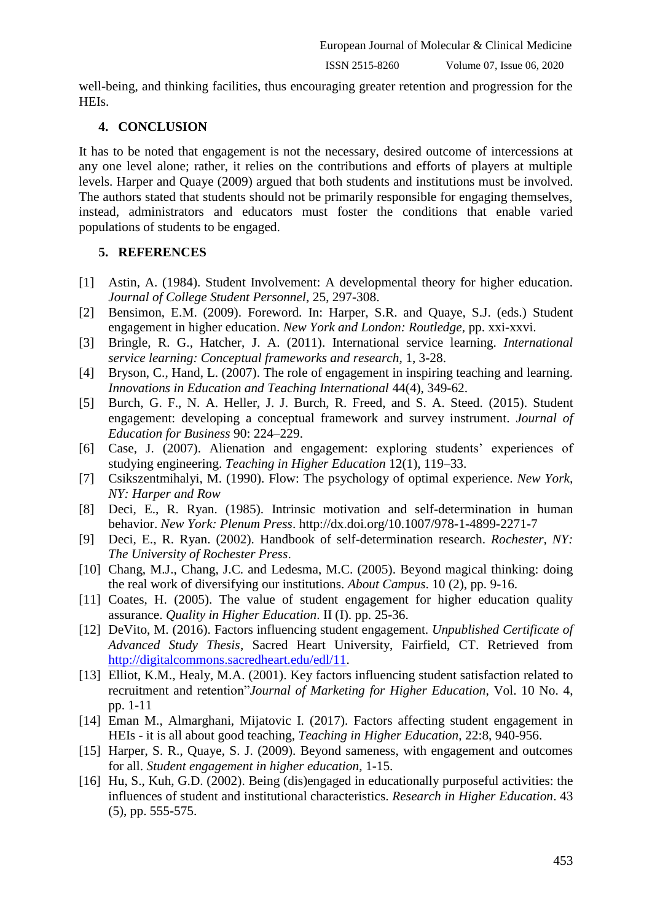ISSN 2515-8260 Volume 07, Issue 06, 2020

well-being, and thinking facilities, thus encouraging greater retention and progression for the HEIs.

#### **4. CONCLUSION**

It has to be noted that engagement is not the necessary, desired outcome of intercessions at any one level alone; rather, it relies on the contributions and efforts of players at multiple levels. Harper and Quaye (2009) argued that both students and institutions must be involved. The authors stated that students should not be primarily responsible for engaging themselves, instead, administrators and educators must foster the conditions that enable varied populations of students to be engaged.

#### **5. REFERENCES**

- [1] Astin, A. (1984). Student Involvement: A developmental theory for higher education. *Journal of College Student Personnel*, 25, 297-308.
- [2] Bensimon, E.M. (2009). Foreword. In: Harper, S.R. and Quaye, S.J. (eds.) Student engagement in higher education. *New York and London: Routledge*, pp. xxi-xxvi.
- [3] Bringle, R. G., Hatcher, J. A. (2011). International service learning. *International service learning: Conceptual frameworks and research*, 1, 3-28.
- [4] Bryson, C., Hand, L. (2007). The role of engagement in inspiring teaching and learning. *Innovations in Education and Teaching International* 44(4), 349-62.
- [5] Burch, G. F., N. A. Heller, J. J. Burch, R. Freed, and S. A. Steed. (2015). Student engagement: developing a conceptual framework and survey instrument. *Journal of Education for Business* 90: 224–229.
- [6] Case, J. (2007). Alienation and engagement: exploring students' experiences of studying engineering. *Teaching in Higher Education* 12(1), 119–33.
- [7] Csikszentmihalyi, M. (1990). Flow: The psychology of optimal experience. *New York, NY: Harper and Row*
- [8] Deci, E., R. Ryan. (1985). Intrinsic motivation and self-determination in human behavior. *New York: Plenum Press*. http://dx.doi.org/10.1007/978-1-4899-2271-7
- [9] Deci, E., R. Ryan. (2002). Handbook of self-determination research. *Rochester, NY: The University of Rochester Press*.
- [10] Chang, M.J., Chang, J.C. and Ledesma, M.C. (2005). Beyond magical thinking: doing the real work of diversifying our institutions. *About Campus*. 10 (2), pp. 9-16.
- [11] Coates, H. (2005). The value of student engagement for higher education quality assurance. *Quality in Higher Education*. II (I). pp. 25-36.
- [12] DeVito, M. (2016). Factors influencing student engagement. *Unpublished Certificate of Advanced Study Thesis*, Sacred Heart University, Fairfield, CT. Retrieved from [http://digitalcommons.sacredheart.edu/edl/11.](http://digitalcommons.sacredheart.edu/edl/11)
- [13] Elliot, K.M., Healy, M.A. (2001). Key factors influencing student satisfaction related to recruitment and retention"*Journal of Marketing for Higher Education*, Vol. 10 No. 4, pp. 1-11
- [14] Eman M., Almarghani, Mijatovic I. (2017). Factors affecting student engagement in HEIs - it is all about good teaching, *Teaching in Higher Education*, 22:8, 940-956.
- [15] Harper, S. R., Quaye, S. J. (2009). Beyond sameness, with engagement and outcomes for all. *Student engagement in higher education*, 1-15.
- [16] Hu, S., Kuh, G.D. (2002). Being (dis)engaged in educationally purposeful activities: the influences of student and institutional characteristics. *Research in Higher Education*. 43 (5), pp. 555-575.